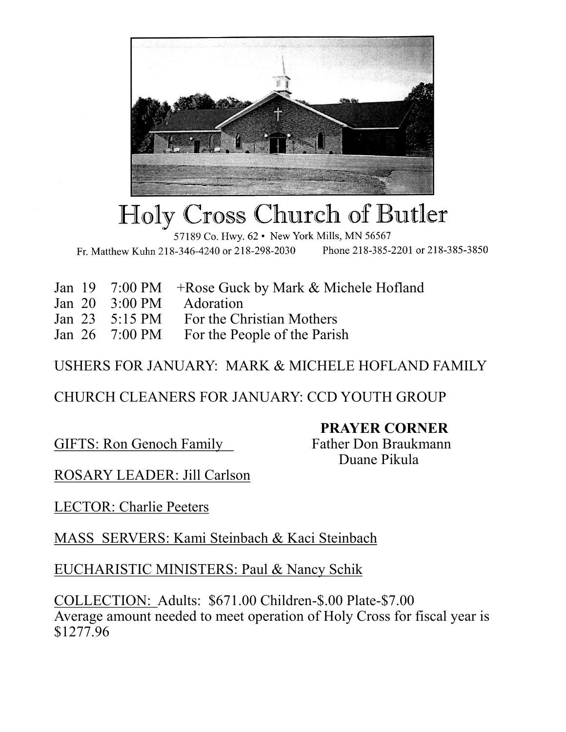

## Holy Cross Church of Butler

57189 Co. Hwy. 62 • New York Mills, MN 56567 Phone 218-385-2201 or 218-385-3850 Fr. Matthew Kuhn 218-346-4240 or 218-298-2030

|  | Jan 19 7:00 PM + Rose Guck by Mark & Michele Hofland |
|--|------------------------------------------------------|
|  | Jan 20 3:00 PM Adoration                             |
|  | Jan 23 5:15 PM For the Christian Mothers             |
|  | Jan 26 7:00 PM For the People of the Parish          |

USHERS FOR JANUARY: MARK & MICHELE HOFLAND FAMILY

CHURCH CLEANERS FOR JANUARY: CCD YOUTH GROUP

**PRAYER CORNER**

GIFTS: Ron Genoch Family Father Don Braukmann

Duane Pikula

ROSARY LEADER: Jill Carlson

LECTOR: Charlie Peeters

MASS SERVERS: Kami Steinbach & Kaci Steinbach

EUCHARISTIC MINISTERS: Paul & Nancy Schik

COLLECTION: Adults: \$671.00 Children-\$.00 Plate-\$7.00 Average amount needed to meet operation of Holy Cross for fiscal year is \$1277.96